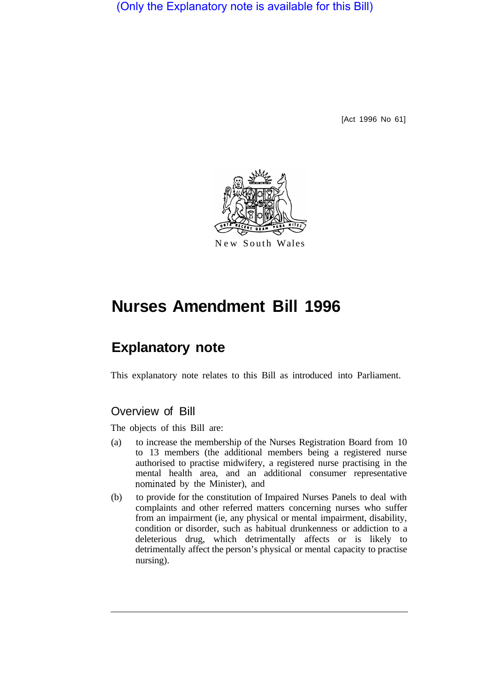(Only the Explanatory note is available for this Bill)

[Act 1996 No 61]



New South Wales

# **Nurses Amendment Bill 1996**

## **Explanatory note**

This explanatory note relates to this Bill as introduced into Parliament.

## Overview of Bill

The objects of this Bill are:

- (a) to increase the membership of the Nurses Registration Board from 10 to 13 members (the additional members being a registered nurse authorised to practise midwifery, a registered nurse practising in the mental health area, and an additional consumer representative nominated by the Minister), and
- (b) to provide for the constitution of Impaired Nurses Panels to deal with complaints and other referred matters concerning nurses who suffer from an impairment (ie, any physical or mental impairment, disability, condition or disorder, such as habitual drunkenness or addiction to a deleterious drug, which detrimentally affects or is likely to detrimentally affect the person's physical or mental capacity to practise nursing).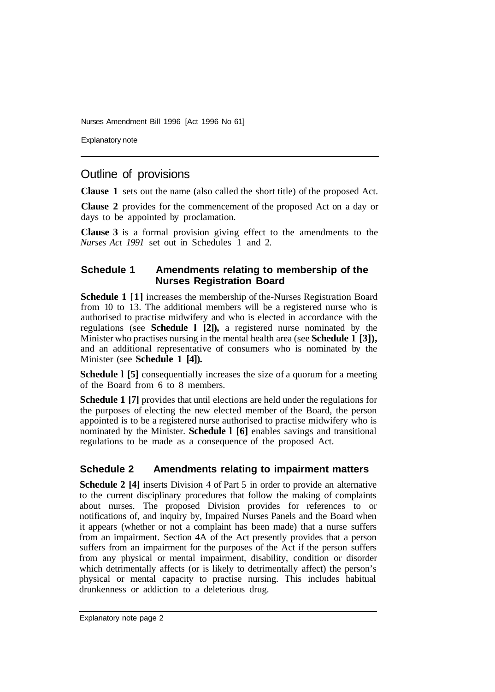Nurses Amendment Bill 1996 [Act 1996 No 61]

Explanatory note

## Outline of provisions

**Clause 1** sets out the name (also called the short title) of the proposed Act.

**Clause 2** provides for the commencement of the proposed Act on a day or days to be appointed by proclamation.

**Clause 3** is a formal provision giving effect to the amendments to the *Nurses Act 1991* set out in Schedules 1 and 2.

#### **Schedule 1 Amendments relating to membership of the Nurses Registration Board**

**Schedule 1 [1]** increases the membership of the-Nurses Registration Board from 10 to 13. The additional members will be a registered nurse who is authorised to practise midwifery and who is elected in accordance with the regulations (see **Schedule l [2]),** a registered nurse nominated by the Minister who practises nursing in the mental health area (see **Schedule 1 [3]),**  and an additional representative of consumers who is nominated by the Minister (see **Schedule 1 [4]).** 

**Schedule 1 [5]** consequentially increases the size of a quorum for a meeting of the Board from 6 to 8 members.

**Schedule 1 [7]** provides that until elections are held under the regulations for the purposes of electing the new elected member of the Board, the person appointed is to be a registered nurse authorised to practise midwifery who is nominated by the Minister. **Schedule l [6]** enables savings and transitional regulations to be made as a consequence of the proposed Act.

## **Schedule 2 Amendments relating to impairment matters**

**Schedule 2 [4]** inserts Division 4 of Part 5 in order to provide an alternative to the current disciplinary procedures that follow the making of complaints about nurses. The proposed Division provides for references to or notifications of, and inquiry by, Impaired Nurses Panels and the Board when it appears (whether or not a complaint has been made) that a nurse suffers from an impairment. Section 4A of the Act presently provides that a person suffers from an impairment for the purposes of the Act if the person suffers from any physical or mental impairment, disability, condition or disorder which detrimentally affects (or is likely to detrimentally affect) the person's physical or mental capacity to practise nursing. This includes habitual drunkenness or addiction to a deleterious drug.